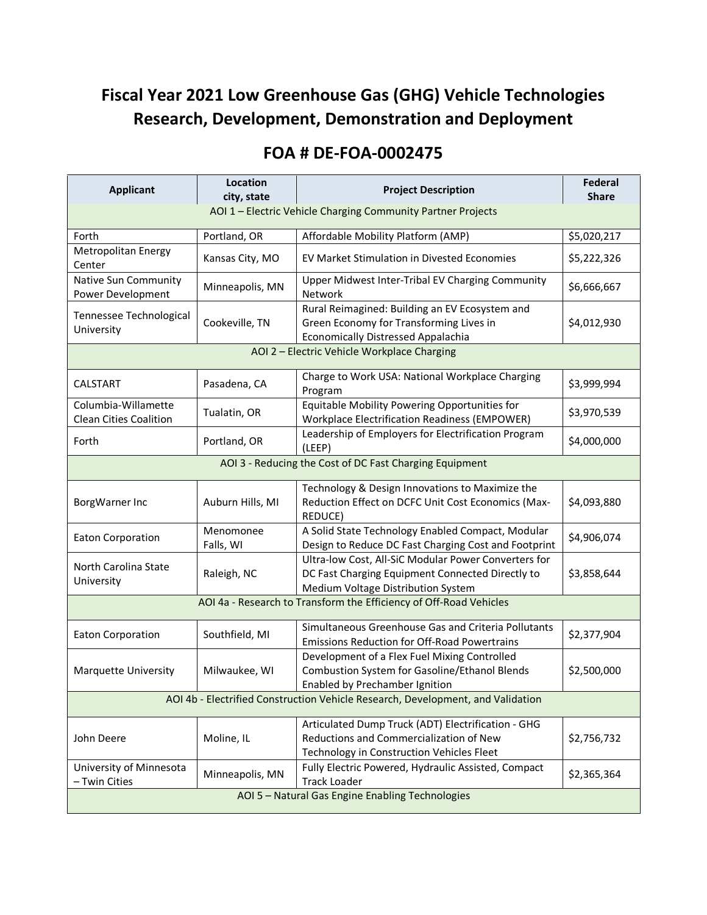## **Fiscal Year 2021 Low Greenhouse Gas (GHG) Vehicle Technologies Research, Development, Demonstration and Deployment**

## **FOA # DE-FOA-0002475**

| <b>Applicant</b>                                                                | Location<br>city, state | <b>Project Description</b>                                                                                                                     | <b>Federal</b><br><b>Share</b> |  |  |
|---------------------------------------------------------------------------------|-------------------------|------------------------------------------------------------------------------------------------------------------------------------------------|--------------------------------|--|--|
| AOI 1 - Electric Vehicle Charging Community Partner Projects                    |                         |                                                                                                                                                |                                |  |  |
| Forth                                                                           | Portland, OR            | Affordable Mobility Platform (AMP)                                                                                                             | \$5,020,217                    |  |  |
| Metropolitan Energy<br>Center                                                   | Kansas City, MO         | <b>EV Market Stimulation in Divested Economies</b>                                                                                             | \$5,222,326                    |  |  |
| Native Sun Community<br>Power Development                                       | Minneapolis, MN         | Upper Midwest Inter-Tribal EV Charging Community<br><b>Network</b>                                                                             | \$6,666,667                    |  |  |
| Tennessee Technological<br>University                                           | Cookeville, TN          | Rural Reimagined: Building an EV Ecosystem and<br>Green Economy for Transforming Lives in<br><b>Economically Distressed Appalachia</b>         | \$4,012,930                    |  |  |
| AOI 2 - Electric Vehicle Workplace Charging                                     |                         |                                                                                                                                                |                                |  |  |
| CALSTART                                                                        | Pasadena, CA            | Charge to Work USA: National Workplace Charging<br>Program                                                                                     | \$3,999,994                    |  |  |
| Columbia-Willamette<br><b>Clean Cities Coalition</b>                            | Tualatin, OR            | Equitable Mobility Powering Opportunities for<br><b>Workplace Electrification Readiness (EMPOWER)</b>                                          | \$3,970,539                    |  |  |
| Forth                                                                           | Portland, OR            | Leadership of Employers for Electrification Program<br>(LEEP)                                                                                  | \$4,000,000                    |  |  |
| AOI 3 - Reducing the Cost of DC Fast Charging Equipment                         |                         |                                                                                                                                                |                                |  |  |
| BorgWarner Inc                                                                  | Auburn Hills, MI        | Technology & Design Innovations to Maximize the<br>Reduction Effect on DCFC Unit Cost Economics (Max-<br>REDUCE)                               | \$4,093,880                    |  |  |
| <b>Eaton Corporation</b>                                                        | Menomonee<br>Falls, WI  | A Solid State Technology Enabled Compact, Modular<br>Design to Reduce DC Fast Charging Cost and Footprint                                      | \$4,906,074                    |  |  |
| North Carolina State<br>University                                              | Raleigh, NC             | Ultra-low Cost, All-SiC Modular Power Converters for<br>DC Fast Charging Equipment Connected Directly to<br>Medium Voltage Distribution System | \$3,858,644                    |  |  |
| AOI 4a - Research to Transform the Efficiency of Off-Road Vehicles              |                         |                                                                                                                                                |                                |  |  |
| <b>Eaton Corporation</b>                                                        | Southfield, MI          | Simultaneous Greenhouse Gas and Criteria Pollutants<br>Emissions Reduction for Off-Road Powertrains                                            | \$2,377,904                    |  |  |
| <b>Marquette University</b>                                                     | Milwaukee, WI           | Development of a Flex Fuel Mixing Controlled<br>Combustion System for Gasoline/Ethanol Blends<br>Enabled by Prechamber Ignition                | \$2,500,000                    |  |  |
| AOI 4b - Electrified Construction Vehicle Research, Development, and Validation |                         |                                                                                                                                                |                                |  |  |
| John Deere                                                                      | Moline, IL              | Articulated Dump Truck (ADT) Electrification - GHG<br>Reductions and Commercialization of New<br>Technology in Construction Vehicles Fleet     | \$2,756,732                    |  |  |
| University of Minnesota<br>- Twin Cities                                        | Minneapolis, MN         | Fully Electric Powered, Hydraulic Assisted, Compact<br><b>Track Loader</b>                                                                     | \$2,365,364                    |  |  |
| AOI 5 - Natural Gas Engine Enabling Technologies                                |                         |                                                                                                                                                |                                |  |  |